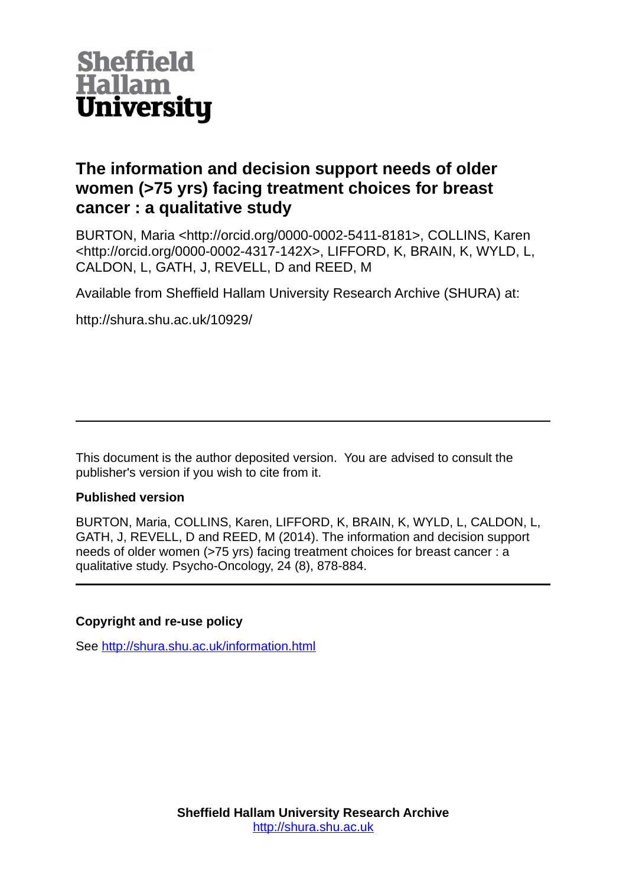

# **The information and decision support needs of older women (>75 yrs) facing treatment choices for breast cancer : a qualitative study**

BURTON, Maria <http://orcid.org/0000-0002-5411-8181>, COLLINS, Karen <http://orcid.org/0000-0002-4317-142X>, LIFFORD, K, BRAIN, K, WYLD, L, CALDON, L, GATH, J, REVELL, D and REED, M

Available from Sheffield Hallam University Research Archive (SHURA) at:

http://shura.shu.ac.uk/10929/

This document is the author deposited version. You are advised to consult the publisher's version if you wish to cite from it.

### **Published version**

BURTON, Maria, COLLINS, Karen, LIFFORD, K, BRAIN, K, WYLD, L, CALDON, L, GATH, J, REVELL, D and REED, M (2014). The information and decision support needs of older women (>75 yrs) facing treatment choices for breast cancer : a qualitative study. Psycho-Oncology, 24 (8), 878-884.

## **Copyright and re-use policy**

See<http://shura.shu.ac.uk/information.html>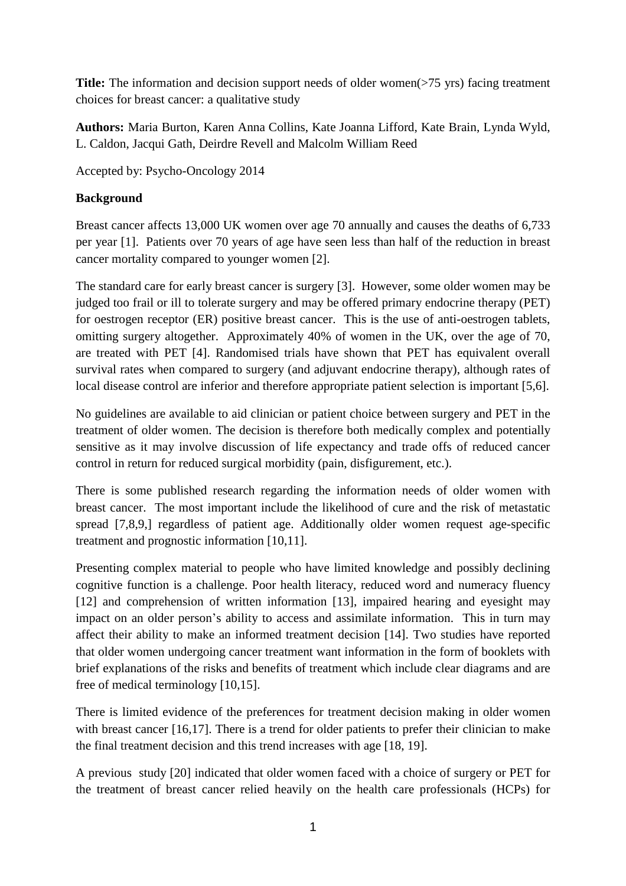**Title:** The information and decision support needs of older women(>75 yrs) facing treatment choices for breast cancer: a qualitative study

**Authors:** Maria Burton, Karen Anna Collins, Kate Joanna Lifford, Kate Brain, Lynda Wyld, L. Caldon, Jacqui Gath, Deirdre Revell and Malcolm William Reed

Accepted by: Psycho-Oncology 2014

### **Background**

Breast cancer affects 13,000 UK women over age 70 annually and causes the deaths of 6,733 per year [1]. Patients over 70 years of age have seen less than half of the reduction in breast cancer mortality compared to younger women [2].

The standard care for early breast cancer is surgery [3]. However, some older women may be judged too frail or ill to tolerate surgery and may be offered primary endocrine therapy (PET) for oestrogen receptor (ER) positive breast cancer. This is the use of anti-oestrogen tablets, omitting surgery altogether. Approximately 40% of women in the UK, over the age of 70, are treated with PET [4]. Randomised trials have shown that PET has equivalent overall survival rates when compared to surgery (and adjuvant endocrine therapy), although rates of local disease control are inferior and therefore appropriate patient selection is important [5,6].

No guidelines are available to aid clinician or patient choice between surgery and PET in the treatment of older women. The decision is therefore both medically complex and potentially sensitive as it may involve discussion of life expectancy and trade offs of reduced cancer control in return for reduced surgical morbidity (pain, disfigurement, etc.).

There is some published research regarding the information needs of older women with breast cancer. The most important include the likelihood of cure and the risk of metastatic spread [7,8,9,] regardless of patient age. Additionally older women request age-specific treatment and prognostic information [10,11].

Presenting complex material to people who have limited knowledge and possibly declining cognitive function is a challenge. Poor health literacy, reduced word and numeracy fluency [12] and comprehension of written information [13], impaired hearing and eyesight may impact on an older person's ability to access and assimilate information. This in turn may affect their ability to make an informed treatment decision [14]. Two studies have reported that older women undergoing cancer treatment want information in the form of booklets with brief explanations of the risks and benefits of treatment which include clear diagrams and are free of medical terminology [10,15].

There is limited evidence of the preferences for treatment decision making in older women with breast cancer [16,17]. There is a trend for older patients to prefer their clinician to make the final treatment decision and this trend increases with age [18, 19].

A previous study [20] indicated that older women faced with a choice of surgery or PET for the treatment of breast cancer relied heavily on the health care professionals (HCPs) for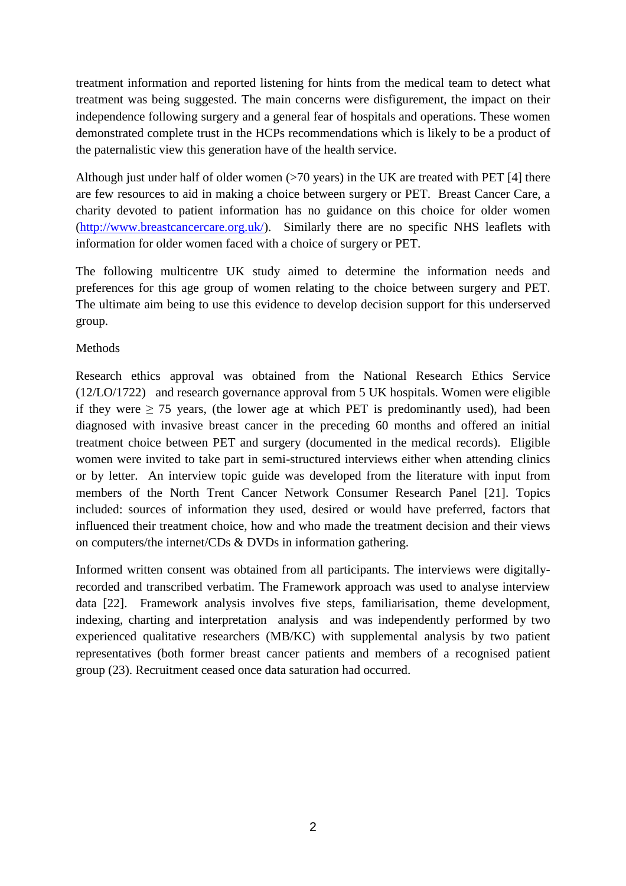treatment information and reported listening for hints from the medical team to detect what treatment was being suggested. The main concerns were disfigurement, the impact on their independence following surgery and a general fear of hospitals and operations. These women demonstrated complete trust in the HCPs recommendations which is likely to be a product of the paternalistic view this generation have of the health service.

Although just under half of older women  $(>70$  years) in the UK are treated with PET [4] there are few resources to aid in making a choice between surgery or PET. Breast Cancer Care, a charity devoted to patient information has no guidance on this choice for older women [\(http://www.breastcancercare.org.uk/\)](http://www.breastcancercare.org.uk/). Similarly there are no specific NHS leaflets with information for older women faced with a choice of surgery or PET.

The following multicentre UK study aimed to determine the information needs and preferences for this age group of women relating to the choice between surgery and PET. The ultimate aim being to use this evidence to develop decision support for this underserved group.

## Methods

Research ethics approval was obtained from the National Research Ethics Service (12/LO/1722) and research governance approval from 5 UK hospitals. Women were eligible if they were  $\geq$  75 years, (the lower age at which PET is predominantly used), had been diagnosed with invasive breast cancer in the preceding 60 months and offered an initial treatment choice between PET and surgery (documented in the medical records). Eligible women were invited to take part in semi-structured interviews either when attending clinics or by letter. An interview topic guide was developed from the literature with input from members of the North Trent Cancer Network Consumer Research Panel [21]. Topics included: sources of information they used, desired or would have preferred, factors that influenced their treatment choice, how and who made the treatment decision and their views on computers/the internet/CDs & DVDs in information gathering.

Informed written consent was obtained from all participants. The interviews were digitallyrecorded and transcribed verbatim. The Framework approach was used to analyse interview data [22]. Framework analysis involves five steps, familiarisation, theme development, indexing, charting and interpretation analysis and was independently performed by two experienced qualitative researchers (MB/KC) with supplemental analysis by two patient representatives (both former breast cancer patients and members of a recognised patient group (23). Recruitment ceased once data saturation had occurred.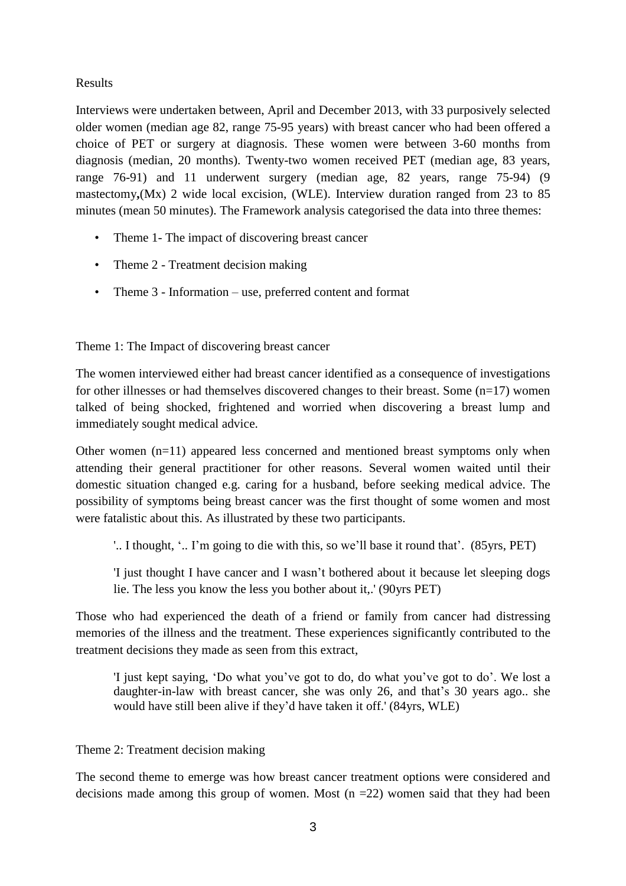### Results

Interviews were undertaken between, April and December 2013, with 33 purposively selected older women (median age 82, range 75-95 years) with breast cancer who had been offered a choice of PET or surgery at diagnosis. These women were between 3-60 months from diagnosis (median, 20 months). Twenty-two women received PET (median age, 83 years, range 76-91) and 11 underwent surgery (median age, 82 years, range 75-94) (9 mastectomy**,**(Mx) 2 wide local excision, (WLE). Interview duration ranged from 23 to 85 minutes (mean 50 minutes). The Framework analysis categorised the data into three themes:

- Theme 1- The impact of discovering breast cancer
- Theme 2 Treatment decision making
- Theme 3 Information use, preferred content and format

Theme 1: The Impact of discovering breast cancer

The women interviewed either had breast cancer identified as a consequence of investigations for other illnesses or had themselves discovered changes to their breast. Some  $(n=17)$  women talked of being shocked, frightened and worried when discovering a breast lump and immediately sought medical advice.

Other women (n=11) appeared less concerned and mentioned breast symptoms only when attending their general practitioner for other reasons. Several women waited until their domestic situation changed e.g. caring for a husband, before seeking medical advice. The possibility of symptoms being breast cancer was the first thought of some women and most were fatalistic about this. As illustrated by these two participants.

'.. I thought, '.. I'm going to die with this, so we'll base it round that'. (85yrs, PET)

'I just thought I have cancer and I wasn't bothered about it because let sleeping dogs lie. The less you know the less you bother about it,.' (90yrs PET)

Those who had experienced the death of a friend or family from cancer had distressing memories of the illness and the treatment. These experiences significantly contributed to the treatment decisions they made as seen from this extract,

'I just kept saying, 'Do what you've got to do, do what you've got to do'. We lost a daughter-in-law with breast cancer, she was only 26, and that's 30 years ago.. she would have still been alive if they'd have taken it off.' (84yrs, WLE)

### Theme 2: Treatment decision making

The second theme to emerge was how breast cancer treatment options were considered and decisions made among this group of women. Most  $(n = 22)$  women said that they had been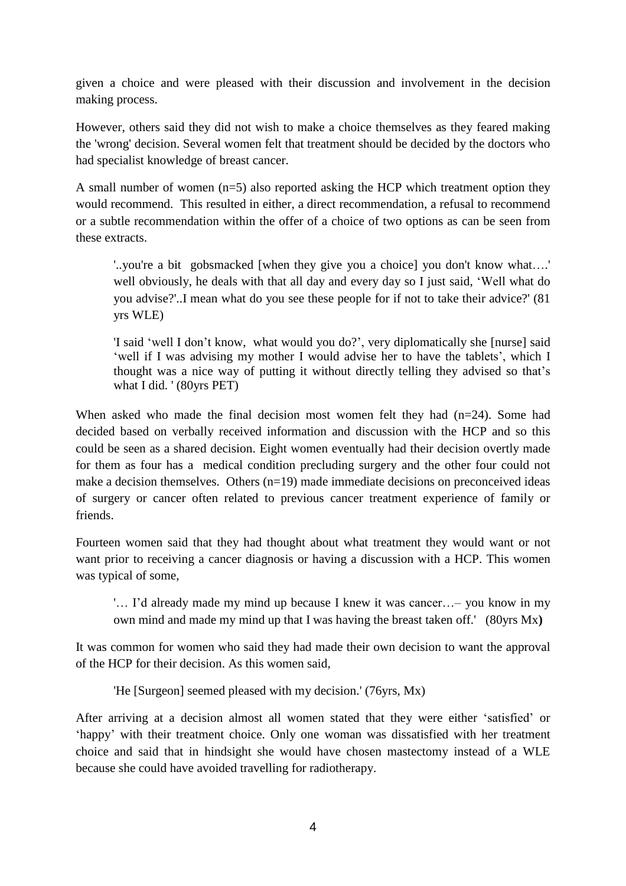given a choice and were pleased with their discussion and involvement in the decision making process.

However, others said they did not wish to make a choice themselves as they feared making the 'wrong' decision. Several women felt that treatment should be decided by the doctors who had specialist knowledge of breast cancer.

A small number of women (n=5) also reported asking the HCP which treatment option they would recommend. This resulted in either, a direct recommendation, a refusal to recommend or a subtle recommendation within the offer of a choice of two options as can be seen from these extracts.

'..you're a bit gobsmacked [when they give you a choice] you don't know what….' well obviously, he deals with that all day and every day so I just said, 'Well what do you advise?'..I mean what do you see these people for if not to take their advice?' (81 yrs WLE)

'I said 'well I don't know, what would you do?', very diplomatically she [nurse] said 'well if I was advising my mother I would advise her to have the tablets', which I thought was a nice way of putting it without directly telling they advised so that's what I did. ' (80yrs PET)

When asked who made the final decision most women felt they had (n=24). Some had decided based on verbally received information and discussion with the HCP and so this could be seen as a shared decision. Eight women eventually had their decision overtly made for them as four has a medical condition precluding surgery and the other four could not make a decision themselves. Others  $(n=19)$  made immediate decisions on preconceived ideas of surgery or cancer often related to previous cancer treatment experience of family or friends.

Fourteen women said that they had thought about what treatment they would want or not want prior to receiving a cancer diagnosis or having a discussion with a HCP. This women was typical of some,

'… I'd already made my mind up because I knew it was cancer…– you know in my own mind and made my mind up that I was having the breast taken off.' (80yrs Mx**)**

It was common for women who said they had made their own decision to want the approval of the HCP for their decision. As this women said,

'He [Surgeon] seemed pleased with my decision.' (76yrs, Mx)

After arriving at a decision almost all women stated that they were either 'satisfied' or 'happy' with their treatment choice. Only one woman was dissatisfied with her treatment choice and said that in hindsight she would have chosen mastectomy instead of a WLE because she could have avoided travelling for radiotherapy.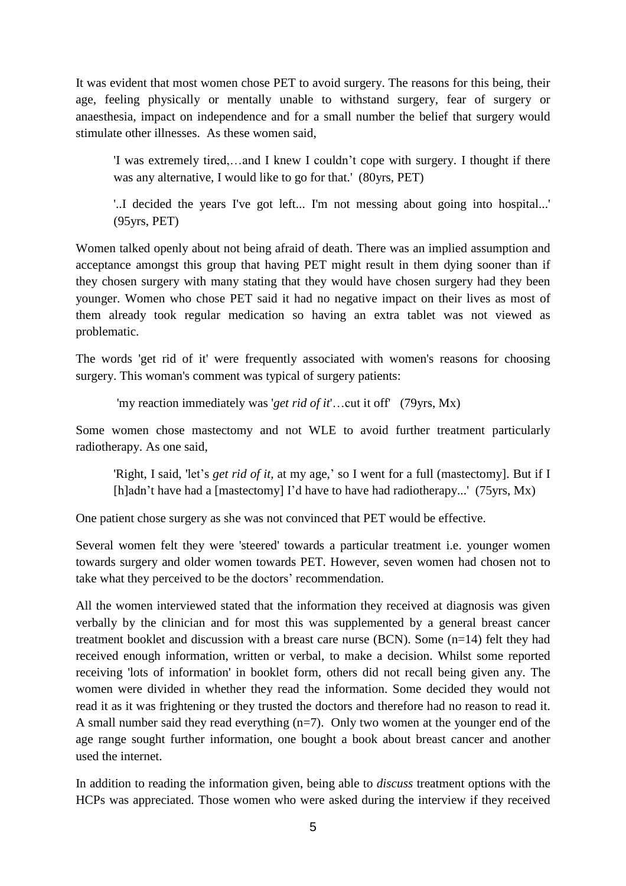It was evident that most women chose PET to avoid surgery. The reasons for this being, their age, feeling physically or mentally unable to withstand surgery, fear of surgery or anaesthesia, impact on independence and for a small number the belief that surgery would stimulate other illnesses. As these women said,

'I was extremely tired,…and I knew I couldn't cope with surgery. I thought if there was any alternative, I would like to go for that.' (80yrs, PET)

'..I decided the years I've got left... I'm not messing about going into hospital...' (95yrs, PET)

Women talked openly about not being afraid of death. There was an implied assumption and acceptance amongst this group that having PET might result in them dying sooner than if they chosen surgery with many stating that they would have chosen surgery had they been younger. Women who chose PET said it had no negative impact on their lives as most of them already took regular medication so having an extra tablet was not viewed as problematic.

The words 'get rid of it' were frequently associated with women's reasons for choosing surgery. This woman's comment was typical of surgery patients:

'my reaction immediately was '*get rid of it*'…cut it off' (79yrs, Mx)

Some women chose mastectomy and not WLE to avoid further treatment particularly radiotherapy. As one said,

'Right, I said, 'let's *get rid of it,* at my age,' so I went for a full (mastectomy]. But if I [h]adn't have had a [mastectomy] I'd have to have had radiotherapy...' (75yrs, Mx)

One patient chose surgery as she was not convinced that PET would be effective.

Several women felt they were 'steered' towards a particular treatment i.e. younger women towards surgery and older women towards PET. However, seven women had chosen not to take what they perceived to be the doctors' recommendation.

All the women interviewed stated that the information they received at diagnosis was given verbally by the clinician and for most this was supplemented by a general breast cancer treatment booklet and discussion with a breast care nurse (BCN). Some (n=14) felt they had received enough information, written or verbal, to make a decision. Whilst some reported receiving 'lots of information' in booklet form, others did not recall being given any. The women were divided in whether they read the information. Some decided they would not read it as it was frightening or they trusted the doctors and therefore had no reason to read it. A small number said they read everything  $(n=7)$ . Only two women at the younger end of the age range sought further information, one bought a book about breast cancer and another used the internet.

In addition to reading the information given, being able to *discuss* treatment options with the HCPs was appreciated. Those women who were asked during the interview if they received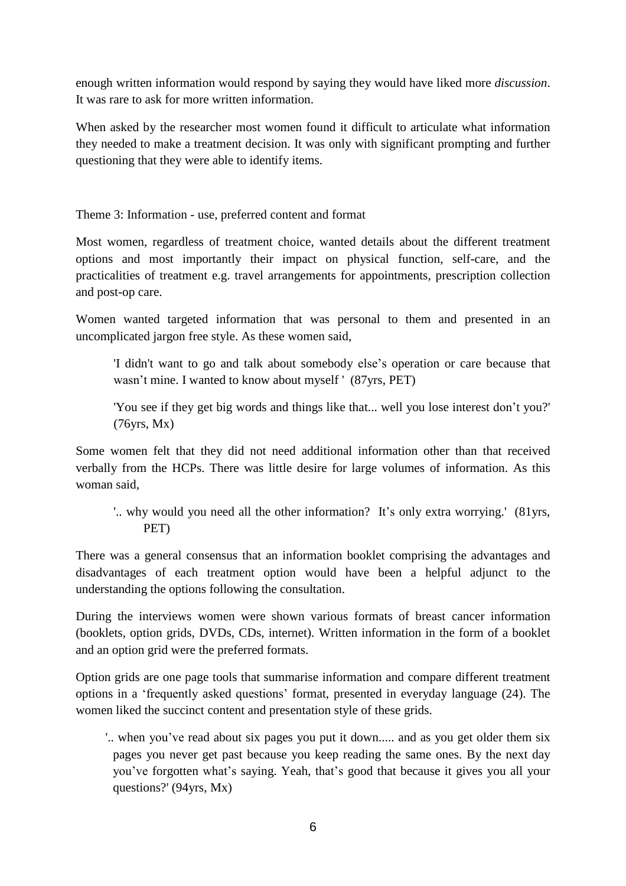enough written information would respond by saying they would have liked more *discussion*. It was rare to ask for more written information.

When asked by the researcher most women found it difficult to articulate what information they needed to make a treatment decision. It was only with significant prompting and further questioning that they were able to identify items.

Theme 3: Information - use, preferred content and format

Most women, regardless of treatment choice, wanted details about the different treatment options and most importantly their impact on physical function, self-care, and the practicalities of treatment e.g. travel arrangements for appointments, prescription collection and post-op care.

Women wanted targeted information that was personal to them and presented in an uncomplicated jargon free style. As these women said,

'I didn't want to go and talk about somebody else's operation or care because that wasn't mine. I wanted to know about myself ' (87yrs, PET)

'You see if they get big words and things like that... well you lose interest don't you?' (76yrs, Mx)

Some women felt that they did not need additional information other than that received verbally from the HCPs. There was little desire for large volumes of information. As this woman said,

'.. why would you need all the other information? It's only extra worrying.' (81yrs, PET)

There was a general consensus that an information booklet comprising the advantages and disadvantages of each treatment option would have been a helpful adjunct to the understanding the options following the consultation.

During the interviews women were shown various formats of breast cancer information (booklets, option grids, DVDs, CDs, internet). Written information in the form of a booklet and an option grid were the preferred formats.

Option grids are one page tools that summarise information and compare different treatment options in a 'frequently asked questions' format, presented in everyday language (24). The women liked the succinct content and presentation style of these grids.

'.. when you've read about six pages you put it down..... and as you get older them six pages you never get past because you keep reading the same ones. By the next day you've forgotten what's saying. Yeah, that's good that because it gives you all your questions?' (94yrs, Mx)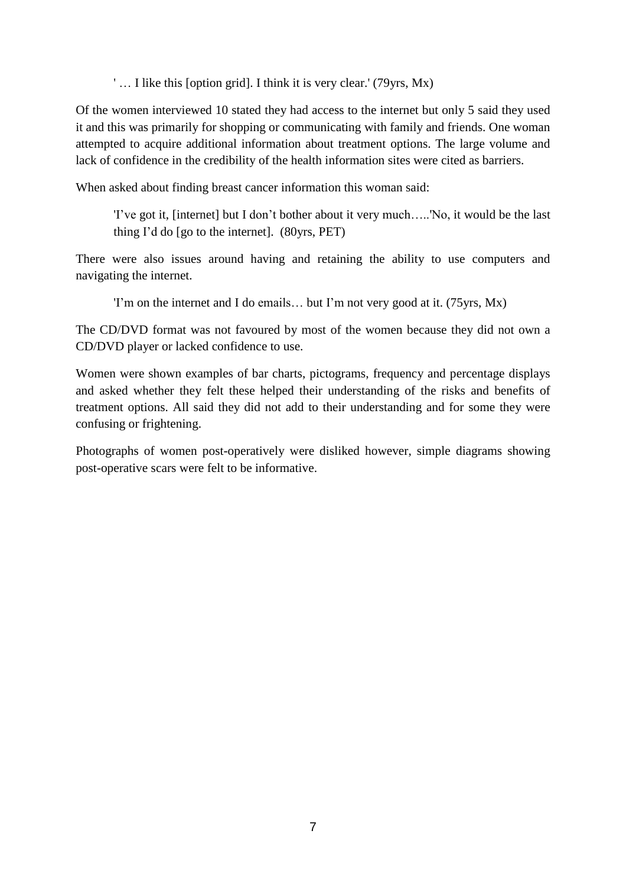' … I like this [option grid]. I think it is very clear.' (79yrs, Mx)

Of the women interviewed 10 stated they had access to the internet but only 5 said they used it and this was primarily for shopping or communicating with family and friends. One woman attempted to acquire additional information about treatment options. The large volume and lack of confidence in the credibility of the health information sites were cited as barriers.

When asked about finding breast cancer information this woman said:

'I've got it, [internet] but I don't bother about it very much…..'No, it would be the last thing I'd do [go to the internet]. (80yrs, PET)

There were also issues around having and retaining the ability to use computers and navigating the internet.

'I'm on the internet and I do emails… but I'm not very good at it. (75yrs, Mx)

The CD/DVD format was not favoured by most of the women because they did not own a CD/DVD player or lacked confidence to use.

Women were shown examples of bar charts, pictograms, frequency and percentage displays and asked whether they felt these helped their understanding of the risks and benefits of treatment options. All said they did not add to their understanding and for some they were confusing or frightening.

Photographs of women post-operatively were disliked however, simple diagrams showing post-operative scars were felt to be informative.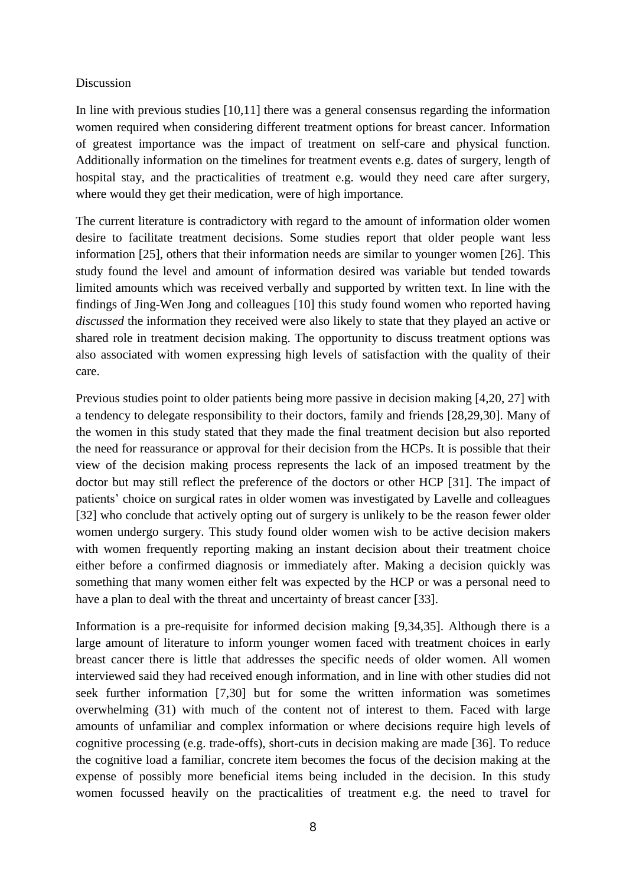#### Discussion

In line with previous studies [10,11] there was a general consensus regarding the information women required when considering different treatment options for breast cancer. Information of greatest importance was the impact of treatment on self-care and physical function. Additionally information on the timelines for treatment events e.g. dates of surgery, length of hospital stay, and the practicalities of treatment e.g. would they need care after surgery, where would they get their medication, were of high importance.

The current literature is contradictory with regard to the amount of information older women desire to facilitate treatment decisions. Some studies report that older people want less information [25], others that their information needs are similar to younger women [26]. This study found the level and amount of information desired was variable but tended towards limited amounts which was received verbally and supported by written text. In line with the findings of Jing-Wen Jong and colleagues [10] this study found women who reported having *discussed* the information they received were also likely to state that they played an active or shared role in treatment decision making. The opportunity to discuss treatment options was also associated with women expressing high levels of satisfaction with the quality of their care.

Previous studies point to older patients being more passive in decision making [4,20, 27] with a tendency to delegate responsibility to their doctors, family and friends [28,29,30]. Many of the women in this study stated that they made the final treatment decision but also reported the need for reassurance or approval for their decision from the HCPs. It is possible that their view of the decision making process represents the lack of an imposed treatment by the doctor but may still reflect the preference of the doctors or other HCP [31]. The impact of patients' choice on surgical rates in older women was investigated by Lavelle and colleagues [32] who conclude that actively opting out of surgery is unlikely to be the reason fewer older women undergo surgery. This study found older women wish to be active decision makers with women frequently reporting making an instant decision about their treatment choice either before a confirmed diagnosis or immediately after. Making a decision quickly was something that many women either felt was expected by the HCP or was a personal need to have a plan to deal with the threat and uncertainty of breast cancer [33].

Information is a pre-requisite for informed decision making [9,34,35]. Although there is a large amount of literature to inform younger women faced with treatment choices in early breast cancer there is little that addresses the specific needs of older women. All women interviewed said they had received enough information, and in line with other studies did not seek further information [7,30] but for some the written information was sometimes overwhelming (31) with much of the content not of interest to them. Faced with large amounts of unfamiliar and complex information or where decisions require high levels of cognitive processing (e.g. trade-offs), short-cuts in decision making are made [36]. To reduce the cognitive load a familiar, concrete item becomes the focus of the decision making at the expense of possibly more beneficial items being included in the decision. In this study women focussed heavily on the practicalities of treatment e.g. the need to travel for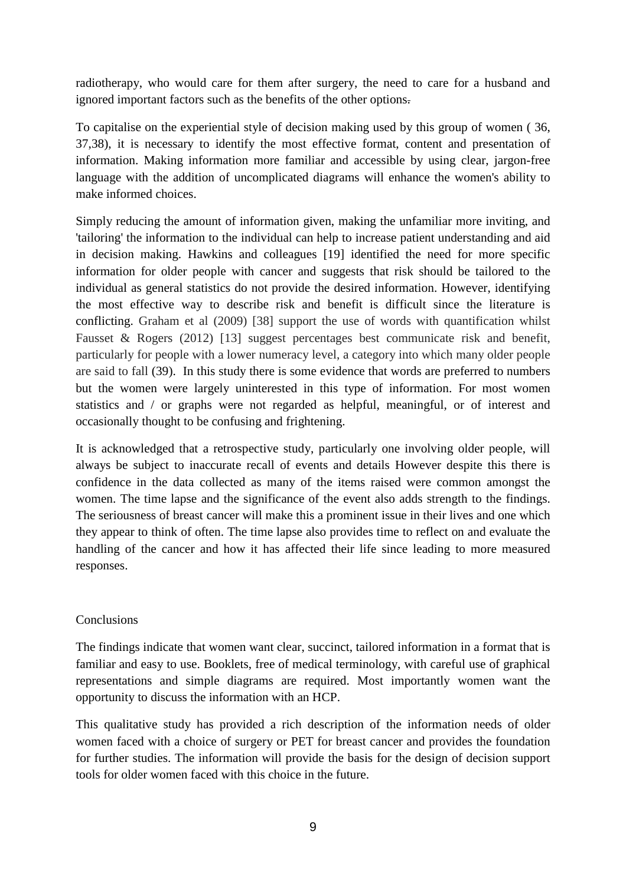radiotherapy, who would care for them after surgery, the need to care for a husband and ignored important factors such as the benefits of the other options.

To capitalise on the experiential style of decision making used by this group of women ( 36, 37,38), it is necessary to identify the most effective format, content and presentation of information. Making information more familiar and accessible by using clear, jargon-free language with the addition of uncomplicated diagrams will enhance the women's ability to make informed choices.

Simply reducing the amount of information given, making the unfamiliar more inviting, and 'tailoring' the information to the individual can help to increase patient understanding and aid in decision making. Hawkins and colleagues [19] identified the need for more specific information for older people with cancer and suggests that risk should be tailored to the individual as general statistics do not provide the desired information. However, identifying the most effective way to describe risk and benefit is difficult since the literature is conflicting. Graham et al (2009) [38] support the use of words with quantification whilst Fausset & Rogers (2012) [13] suggest percentages best communicate risk and benefit, particularly for people with a lower numeracy level, a category into which many older people are said to fall (39). In this study there is some evidence that words are preferred to numbers but the women were largely uninterested in this type of information. For most women statistics and / or graphs were not regarded as helpful, meaningful, or of interest and occasionally thought to be confusing and frightening.

It is acknowledged that a retrospective study, particularly one involving older people, will always be subject to inaccurate recall of events and details However despite this there is confidence in the data collected as many of the items raised were common amongst the women. The time lapse and the significance of the event also adds strength to the findings. The seriousness of breast cancer will make this a prominent issue in their lives and one which they appear to think of often. The time lapse also provides time to reflect on and evaluate the handling of the cancer and how it has affected their life since leading to more measured responses.

### **Conclusions**

The findings indicate that women want clear, succinct, tailored information in a format that is familiar and easy to use. Booklets, free of medical terminology, with careful use of graphical representations and simple diagrams are required. Most importantly women want the opportunity to discuss the information with an HCP.

This qualitative study has provided a rich description of the information needs of older women faced with a choice of surgery or PET for breast cancer and provides the foundation for further studies. The information will provide the basis for the design of decision support tools for older women faced with this choice in the future.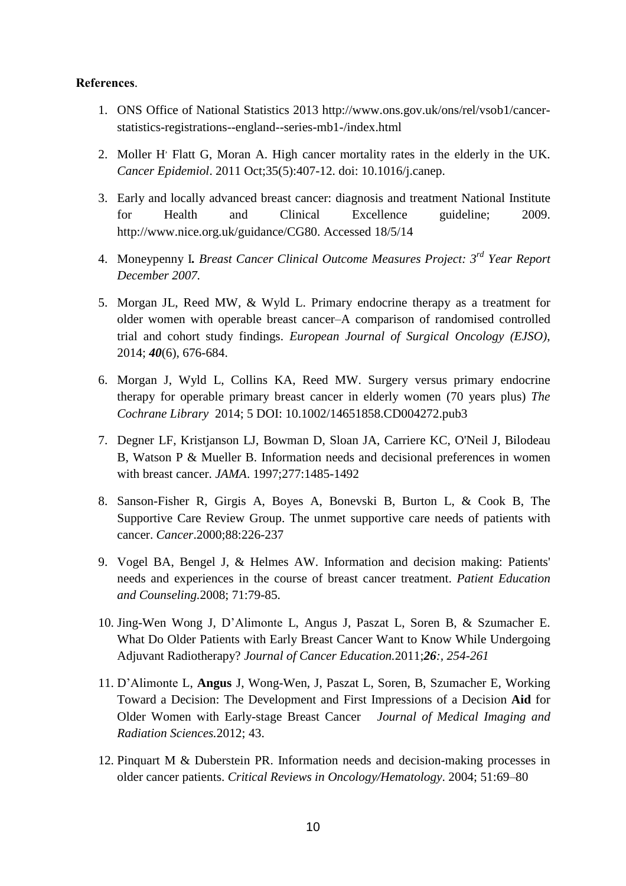#### **References**.

- 1. ONS Office of National Statistics 2013 http://www.ons.gov.uk/ons/rel/vsob1/cancerstatistics-registrations--england--series-mb1-/index.html
- 2. Moller H' Flatt G, Moran A. High cancer mortality rates in the elderly in the UK. *Cancer Epidemiol*. 2011 Oct;35(5):407-12. doi: 10.1016/j.canep.
- 3. Early and locally advanced breast cancer: diagnosis and treatment National Institute for Health and Clinical Excellence guideline; 2009. http://www.nice.org.uk/guidance/CG80. Accessed 18/5/14
- 4. Moneypenny I*. Breast Cancer Clinical Outcome Measures Project: 3 rd Year Report December 2007.*
- 5. Morgan JL, Reed MW, & Wyld L. Primary endocrine therapy as a treatment for older women with operable breast cancer–A comparison of randomised controlled trial and cohort study findings. *European Journal of Surgical Oncology (EJSO)*, 2014; *40*(6), 676-684.
- 6. Morgan J, Wyld L, Collins KA, Reed MW. Surgery versus primary endocrine therapy for operable primary breast cancer in elderly women (70 years plus) *The Cochrane Library* 2014; 5 DOI: 10.1002/14651858.CD004272.pub3
- 7. Degner LF, Kristjanson LJ, Bowman D, Sloan JA, Carriere KC, O'Neil J, Bilodeau B, Watson P & Mueller B. Information needs and decisional preferences in women with breast cancer. *JAMA*. 1997;277:1485-1492
- 8. Sanson-Fisher R, Girgis A, Boyes A, Bonevski B, Burton L, & Cook B, The Supportive Care Review Group. The unmet supportive care needs of patients with cancer. *Cancer*.2000;88:226-237
- 9. Vogel BA, Bengel J, & Helmes AW. Information and decision making: Patients' needs and experiences in the course of breast cancer treatment. *Patient Education and Counseling.*2008; 71:79-85.
- 10. Jing-Wen Wong J, D'Alimonte L, Angus J, Paszat L, Soren B, & Szumacher E. What Do Older Patients with Early Breast Cancer Want to Know While Undergoing Adjuvant Radiotherapy? *Journal of Cancer Education.*2011;*26:, 254-261*
- 11. D'Alimonte L, **Angus** J, Wong-Wen, J, Paszat L, Soren, B, Szumacher E, Working Toward a Decision: The Development and First Impressions of a Decision **Aid** for Older Women with Early-stage Breast Cancer *Journal of Medical Imaging and Radiation Sciences.*2012; 43.
- 12. Pinquart M & Duberstein PR. Information needs and decision-making processes in older cancer patients. *Critical Reviews in Oncology/Hematology*. 2004; 51:69–80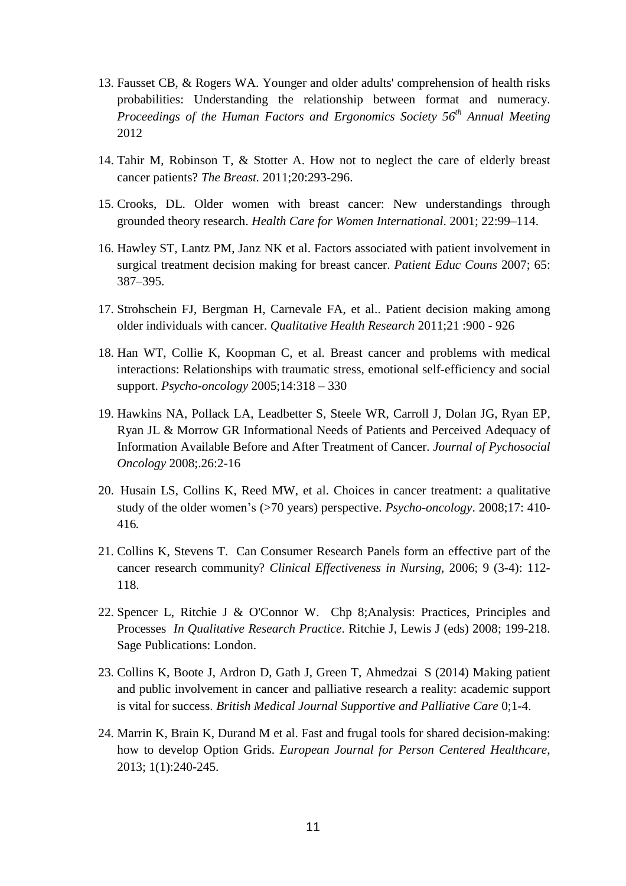- 13. Fausset CB, & Rogers WA. Younger and older adults' comprehension of health risks probabilities: Understanding the relationship between format and numeracy. *Proceedings of the Human Factors and Ergonomics Society 56th Annual Meeting* 2012
- 14. Tahir M, Robinson T, & Stotter A. How not to neglect the care of elderly breast cancer patients? *The Breast.* 2011;20:293-296.
- 15. Crooks, DL. Older women with breast cancer: New understandings through grounded theory research. *Health Care for Women International*. 2001; 22:99–114.
- 16. Hawley ST, Lantz PM, Janz NK et al. Factors associated with patient involvement in surgical treatment decision making for breast cancer. *Patient Educ Couns* 2007; 65: 387–395.
- 17. Strohschein FJ, Bergman H, Carnevale FA, et al.. Patient decision making among older individuals with cancer. *Qualitative Health Research* 2011;21 :900 - 926
- 18. Han WT, Collie K, Koopman C, et al. Breast cancer and problems with medical interactions: Relationships with traumatic stress, emotional self-efficiency and social support. *Psycho-oncology* 2005;14:318 – 330
- 19. Hawkins NA, Pollack LA, Leadbetter S, Steele WR, Carroll J, Dolan JG, Ryan EP, Ryan JL & Morrow GR Informational Needs of Patients and Perceived Adequacy of Information Available Before and After Treatment of Cancer. *Journal of Pychosocial Oncology* 2008;.26:2-16
- 20. Husain LS, Collins K, Reed MW, et al. Choices in cancer treatment: a qualitative study of the older women's (>70 years) perspective. *Psycho-oncology*. 2008;17: 410- 416*.*
- 21. Collins K, Stevens T. Can Consumer Research Panels form an effective part of the cancer research community? *Clinical Effectiveness in Nursing,* 2006; 9 (3-4): 112- 118.
- 22. Spencer L, Ritchie J & O'Connor W. Chp 8;Analysis: Practices, Principles and Processes *In Qualitative Research Practice*. Ritchie J, Lewis J (eds) 2008; 199-218. Sage Publications: London.
- 23. Collins K, Boote J, Ardron D, Gath J, Green T, Ahmedzai S (2014) Making patient and public involvement in cancer and palliative research a reality: academic support is vital for success. *British Medical Journal Supportive and Palliative Care* 0;1-4.
- 24. Marrin K, Brain K, Durand M et al. Fast and frugal tools for shared decision-making: how to develop Option Grids. *European Journal for Person Centered Healthcare,* 2013; 1(1):240-245.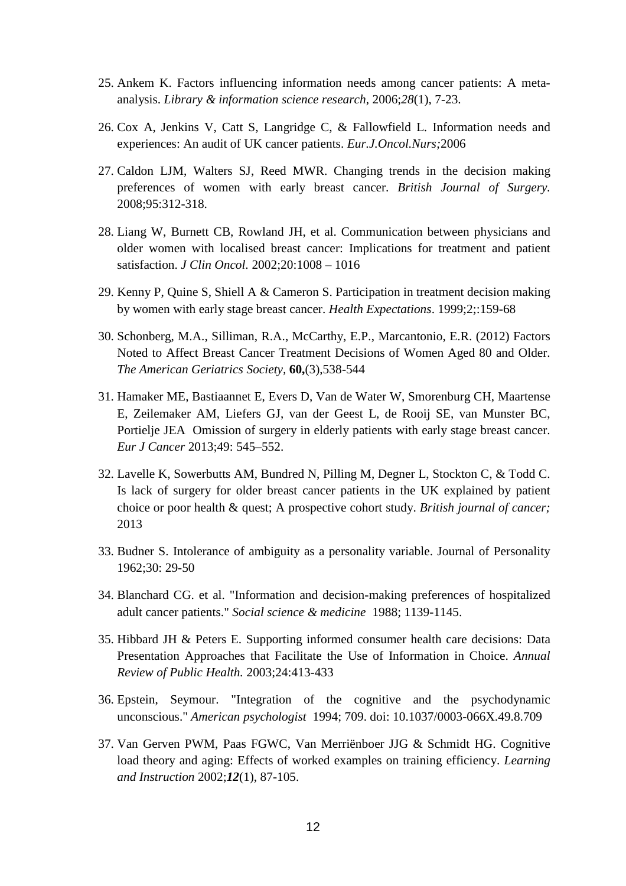- 25. Ankem K. Factors influencing information needs among cancer patients: A metaanalysis. *Library & information science research*, 2006;*28*(1), 7-23.
- 26. Cox A, Jenkins V, Catt S, Langridge C, & Fallowfield L. Information needs and experiences: An audit of UK cancer patients. *Eur.J.Oncol.Nurs;*2006
- 27. Caldon LJM, Walters SJ, Reed MWR. Changing trends in the decision making preferences of women with early breast cancer. *British Journal of Surgery.* 2008;95:312-318.
- 28. Liang W, Burnett CB, Rowland JH, et al. Communication between physicians and older women with localised breast cancer: Implications for treatment and patient satisfaction. *J Clin Oncol.* 2002;20:1008 – 1016
- 29. Kenny P, Quine S, Shiell A & Cameron S. Participation in treatment decision making by women with early stage breast cancer. *Health Expectations*. 1999;2;:159-68
- 30. Schonberg, M.A., Silliman, R.A., McCarthy, E.P., Marcantonio, E.R. (2012) Factors Noted to Affect Breast Cancer Treatment Decisions of Women Aged 80 and Older. *The American Geriatrics Society,* **60,**(3),538-544
- 31. Hamaker ME, Bastiaannet E, Evers D, Van de Water W, Smorenburg CH, Maartense E, Zeilemaker AM, Liefers GJ, van der Geest L, de Rooij SE, van Munster BC, Portielje JEA Omission of surgery in elderly patients with early stage breast cancer. *Eur J Cancer* 2013;49: 545–552.
- 32. Lavelle K, Sowerbutts AM, Bundred N, Pilling M, Degner L, Stockton C, & Todd C. Is lack of surgery for older breast cancer patients in the UK explained by patient choice or poor health & quest; A prospective cohort study. *British journal of cancer;* 2013
- 33. Budner S. Intolerance of ambiguity as a personality variable. Journal of Personality 1962;30: 29-50
- 34. Blanchard CG. et al. "Information and decision-making preferences of hospitalized adult cancer patients." *Social science & medicine* 1988; 1139-1145.
- 35. Hibbard JH & Peters E. Supporting informed consumer health care decisions: Data Presentation Approaches that Facilitate the Use of Information in Choice. *Annual Review of Public Health.* 2003;24:413-433
- 36. Epstein, Seymour. "Integration of the cognitive and the psychodynamic unconscious." *American psychologist* 1994; 709. doi: 10.1037/0003-066X.49.8.709
- 37. Van Gerven PWM, Paas FGWC, Van Merriënboer JJG & Schmidt HG. Cognitive load theory and aging: Effects of worked examples on training efficiency. *Learning and Instruction* 2002;*12*(1), 87-105.